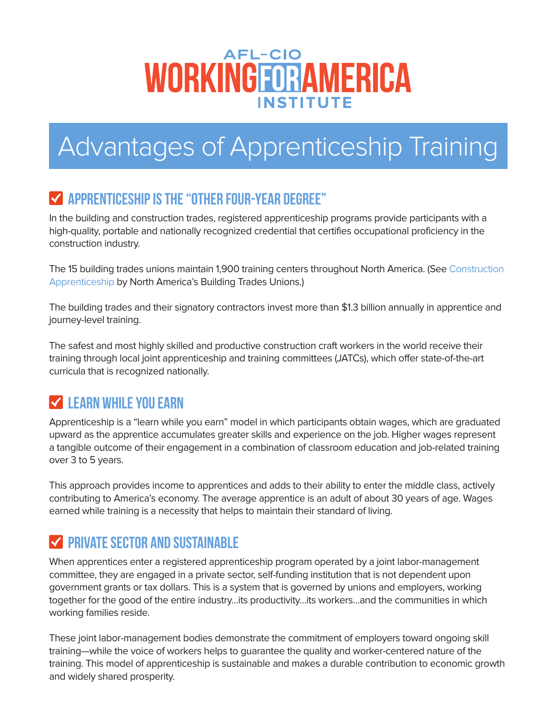# **AFL-CIO** WORKINGFORAMERICA **INSTITUTE**

# Advantages of Apprenticeship Training

# **THE "OTHER FOUR-YEAR DEGREE"**

In the building and construction trades, registered apprenticeship programs provide participants with a high-quality, portable and nationally recognized credential that certifies occupational proficiency in the construction industry.

The 15 building trades unions maintain 1,900 training centers throughout North America. (See [Construction](http://www.bctd.org/BCTD/media/Files/BCTD-Appren-Four-YR-Degree-2015.pdf)  [Apprenticeship](http://www.bctd.org/BCTD/media/Files/BCTD-Appren-Four-YR-Degree-2015.pdf) by North America's Building Trades Unions.)

The building trades and their signatory contractors invest more than \$1.3 billion annually in apprentice and journey-level training.

The safest and most highly skilled and productive construction craft workers in the world receive their training through local joint apprenticeship and training committees (JATCs), which offer state-of-the-art curricula that is recognized nationally.

#### **V** LEARN WHILE YOU EARN

Apprenticeship is a "learn while you earn" model in which participants obtain wages, which are graduated upward as the apprentice accumulates greater skills and experience on the job. Higher wages represent a tangible outcome of their engagement in a combination of classroom education and job-related training over 3 to 5 years.

This approach provides income to apprentices and adds to their ability to enter the middle class, actively contributing to America's economy. The average apprentice is an adult of about 30 years of age. Wages earned while training is a necessity that helps to maintain their standard of living.

# **V PRIVATE SECTOR AND SUSTAINABLE**

When apprentices enter a registered apprenticeship program operated by a joint labor-management committee, they are engaged in a private sector, self-funding institution that is not dependent upon government grants or tax dollars. This is a system that is governed by unions and employers, working together for the good of the entire industry…its productivity…its workers…and the communities in which working families reside.

These joint labor-management bodies demonstrate the commitment of employers toward ongoing skill training—while the voice of workers helps to guarantee the quality and worker-centered nature of the training. This model of apprenticeship is sustainable and makes a durable contribution to economic growth and widely shared prosperity.